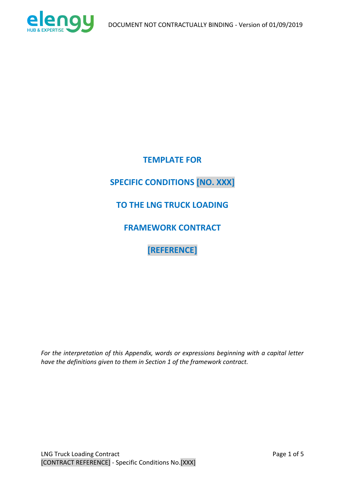

**TEMPLATE FOR SPECIFIC CONDITIONS [NO. XXX] TO THE LNG TRUCK LOADING FRAMEWORK CONTRACT [REFERENCE]**

*For the interpretation of this Appendix, words or expressions beginning with a capital letter have the definitions given to them in Section 1 of the framework contract.*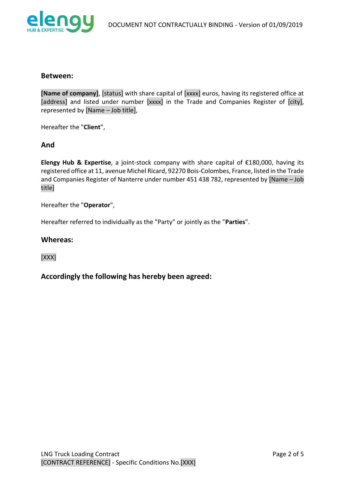

#### **Between:**

**[Name of company]**, [status] with share capital of [xxxx] euros, having its registered office at [address] and listed under number [xxxx] in the Trade and Companies Register of [city], represented by [Name – Job title],

Hereafter the "**Client**",

### **And**

**Elengy Hub & Expertise**, a joint-stock company with share capital of €180,000, having its registered office at 11, avenue Michel Ricard, 92270 Bois-Colombes, France, listed in the Trade and Companies Register of Nanterre under number 451 438 782, represented by [Name – Job title]

Hereafter the "**Operator**",

Hereafter referred to individually as the "Party" or jointly as the "**Parties**".

#### **Whereas:**

[XXX]

**Accordingly the following has hereby been agreed:**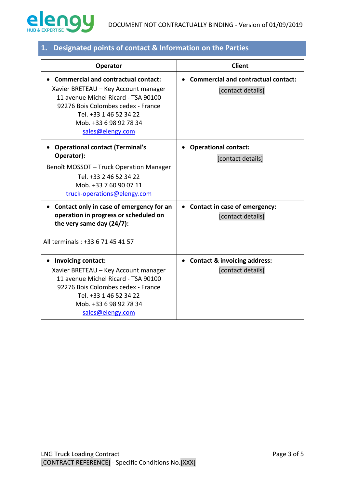

| Operator                                                                                                                                                                                                                                | <b>Client</b>                                                   |
|-----------------------------------------------------------------------------------------------------------------------------------------------------------------------------------------------------------------------------------------|-----------------------------------------------------------------|
| <b>Commercial and contractual contact:</b><br>Xavier BRETEAU - Key Account manager<br>11 avenue Michel Ricard - TSA 90100<br>92276 Bois Colombes cedex - France<br>Tel. +33 1 46 52 34 22<br>Mob. +33 6 98 92 78 34<br>sales@elengy.com | <b>Commercial and contractual contact:</b><br>[contact details] |
| <b>Operational contact (Terminal's</b><br>Operator):<br>Benoît MOSSOT - Truck Operation Manager<br>Tel. +33 2 46 52 34 22<br>Mob. +33 7 60 90 07 11<br>truck-operations@elengy.com                                                      | <b>Operational contact:</b><br>$\bullet$<br>[contact details]   |
| Contact only in case of emergency for an<br>operation in progress or scheduled on<br>the very same day (24/7):<br>All terminals: +33 6 71 45 41 57                                                                                      | • Contact in case of emergency:<br>[contact details]            |
| Invoicing contact:<br>Xavier BRETEAU - Key Account manager<br>11 avenue Michel Ricard - TSA 90100<br>92276 Bois Colombes cedex - France<br>Tel. +33 1 46 52 34 22<br>Mob. +33 6 98 92 78 34<br>sales@elengy.com                         | • Contact & invoicing address:<br>[contact details]             |

# **1. Designated points of contact & Information on the Parties**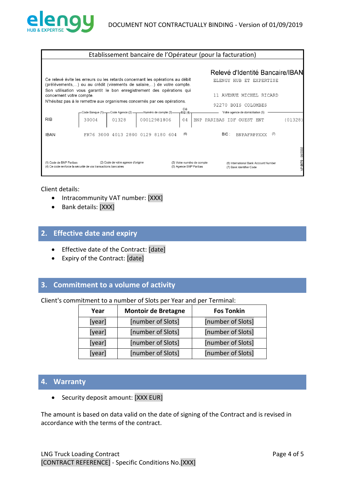

| Etablissement bancaire de l'Opérateur (pour la facturation) |                                                                                                                                                        |                                                      |                                                                                        |  |
|-------------------------------------------------------------|--------------------------------------------------------------------------------------------------------------------------------------------------------|------------------------------------------------------|----------------------------------------------------------------------------------------|--|
|                                                             | Ce relevé évite les erreurs ou les retards concernant les opérations au débit<br>(prélèvements,) ou au crédit (virements de salaire,) de votre compte. |                                                      | Relevé d'Identité Bancaire/IBAN<br>ELENGY HUB ET EXPERTISE                             |  |
| concernent votre compte.                                    | Son utilisation vous garantit le bon enregistrement des opérations qui<br>N'hésitez pas à le remettre aux organismes concernés par ces opérations.     |                                                      | 11 AVENUE MICHEL RICARD<br>92270 BOIS COLOMBES                                         |  |
| <b>RIB</b>                                                  | -Numéro de compte (3)<br>Code Banque (1) - Code Agence (2) -<br>01328<br>00012981806<br>30004                                                          | Clé<br>RIB(4)<br>04                                  | Votre agence de domiciliation (5)<br>(01328)<br>PARIBAS<br><b>BNP</b><br>IDF OUEST ENT |  |
| <b>IBAN</b>                                                 | FR76 3000 4013 2800 0129 8180 604                                                                                                                      | (6)                                                  | BIC:<br>(7)<br><b>BNPAFRPPXXX</b>                                                      |  |
| (1) Code de BNP Paribas                                     | (2) Code de votre agence d'origine<br>(4) Ce code renforce la sécurité de vos transactions bancaires                                                   | (3) Votre numéro de compte<br>(5) Agence BNP Paribas | VP.0070 - 06/2002<br>(6) International Bank Account Number<br>(7) Bank Identifier Code |  |

#### Client details:

- Intracommunity VAT number: [XXX]
- Bank details: [XXX]

## **2. Effective date and expiry**

- Effective date of the Contract: [date]
- Expiry of the Contract: [date]

## **3. Commitment to a volume of activity**

Client's commitment to a number of Slots per Year and per Terminal:

| Year   | <b>Montoir de Bretagne</b> | <b>Fos Tonkin</b> |
|--------|----------------------------|-------------------|
| [year] | [number of Slots]          | [number of Slots] |
| [year] | [number of Slots]          | [number of Slots] |
| [year] | [number of Slots]          | [number of Slots] |
| [year] | [number of Slots]          | [number of Slots] |

## **4. Warranty**

• Security deposit amount: [XXX EUR]

The amount is based on data valid on the date of signing of the Contract and is revised in accordance with the terms of the contract.